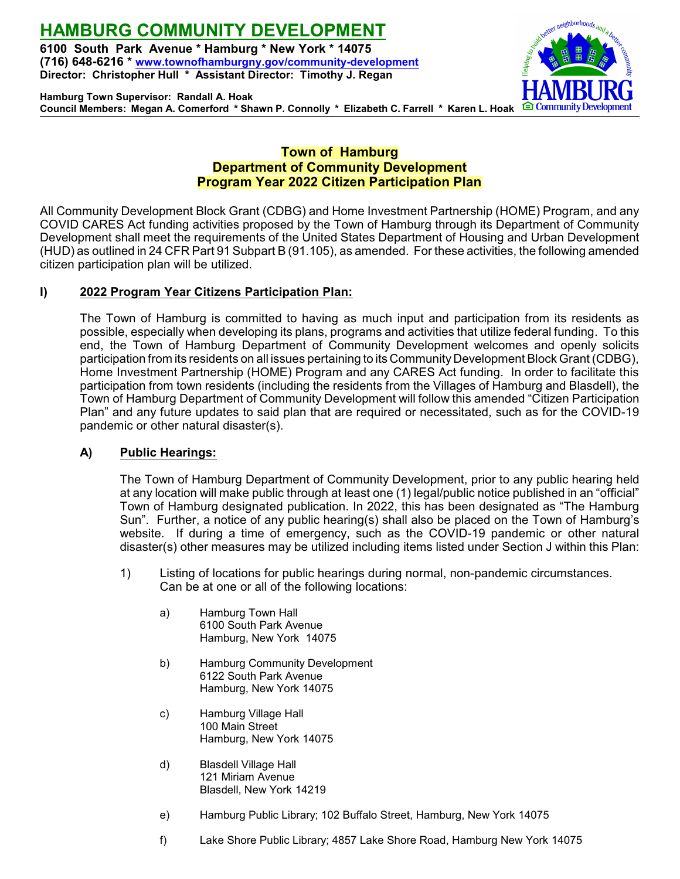# **HAMBURG COMMUNITY DEVELOPMENT**

**6100 South Park Avenue \* Hamburg \* New York \* 14075 (716) 648-6216 \* [www.townofhamburgny.gov/community-development](http://www.townofhamburgny.com/cdbg) Director: Christopher Hull \* Assistant Director: Timothy J. Regan**



**Hamburg Town Supervisor: Randall A. Hoak Council Members: Megan A. Comerford \* Shawn P. Connolly \* Elizabeth C. Farrell \* Karen L. Hoak**

# **Town of Hamburg Department of Community Development Program Year 2022 Citizen Participation Plan**

All Community Development Block Grant (CDBG) and Home Investment Partnership (HOME) Program, and any COVID CARES Act funding activities proposed by the Town of Hamburg through its Department of Community Development shall meet the requirements of the United States Department of Housing and Urban Development (HUD) as outlined in 24 CFR Part 91 Subpart B (91.105), as amended. For these activities, the following amended citizen participation plan will be utilized.

## **I) 2022 Program Year Citizens Participation Plan:**

The Town of Hamburg is committed to having as much input and participation from its residents as possible, especially when developing its plans, programs and activities that utilize federal funding. To this end, the Town of Hamburg Department of Community Development welcomes and openly solicits participation from its residents on all issues pertaining to its Community Development Block Grant (CDBG), Home Investment Partnership (HOME) Program and any CARES Act funding. In order to facilitate this participation from town residents (including the residents from the Villages of Hamburg and Blasdell), the Town of Hamburg Department of Community Development will follow this amended "Citizen Participation Plan" and any future updates to said plan that are required or necessitated, such as for the COVID-19 pandemic or other natural disaster(s).

### **A) Public Hearings:**

The Town of Hamburg Department of Community Development, prior to any public hearing held at any location will make public through at least one (1) legal/public notice published in an "official" Town of Hamburg designated publication. In 2022, this has been designated as "The Hamburg Sun". Further, a notice of any public hearing(s) shall also be placed on the Town of Hamburg's website. If during a time of emergency, such as the COVID-19 pandemic or other natural disaster(s) other measures may be utilized including items listed under Section J within this Plan:

- 1) Listing of locations for public hearings during normal, non-pandemic circumstances. Can be at one or all of the following locations:
	- a) Hamburg Town Hall 6100 South Park Avenue Hamburg, New York 14075
	- b) Hamburg Community Development 6122 South Park Avenue Hamburg, New York 14075
	- c) Hamburg Village Hall 100 Main Street Hamburg, New York 14075
	- d) Blasdell Village Hall 121 Miriam Avenue Blasdell, New York 14219
	- e) Hamburg Public Library; 102 Buffalo Street, Hamburg, New York 14075
	- f) Lake Shore Public Library; 4857 Lake Shore Road, Hamburg New York 14075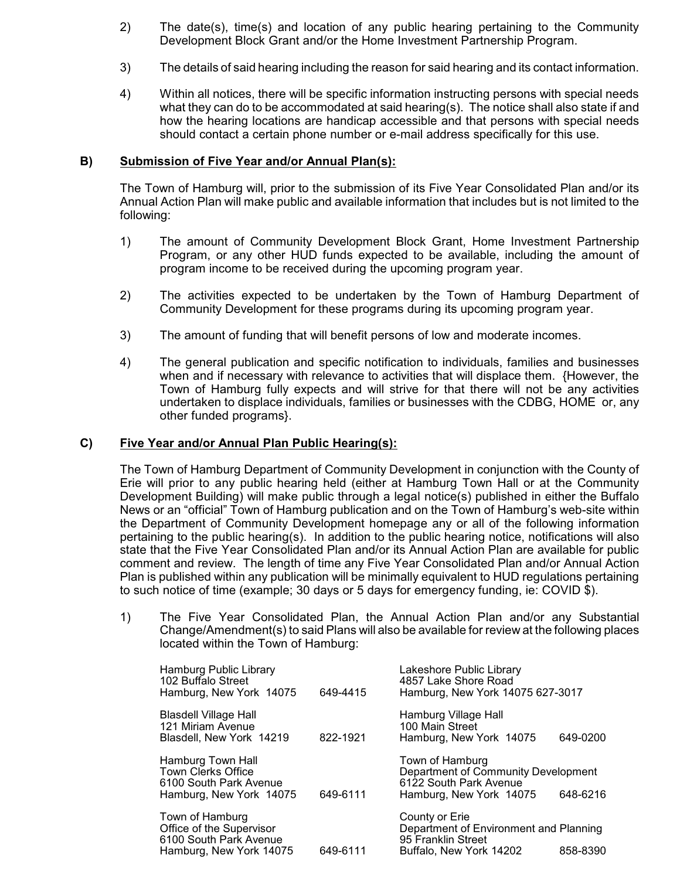- 2) The date(s), time(s) and location of any public hearing pertaining to the Community Development Block Grant and/or the Home Investment Partnership Program.
- 3) The details of said hearing including the reason for said hearing and its contact information.
- 4) Within all notices, there will be specific information instructing persons with special needs what they can do to be accommodated at said hearing(s). The notice shall also state if and how the hearing locations are handicap accessible and that persons with special needs should contact a certain phone number or e-mail address specifically for this use.

### **B) Submission of Five Year and/or Annual Plan(s):**

The Town of Hamburg will, prior to the submission of its Five Year Consolidated Plan and/or its Annual Action Plan will make public and available information that includes but is not limited to the following:

- 1) The amount of Community Development Block Grant, Home Investment Partnership Program, or any other HUD funds expected to be available, including the amount of program income to be received during the upcoming program year.
- 2) The activities expected to be undertaken by the Town of Hamburg Department of Community Development for these programs during its upcoming program year.
- 3) The amount of funding that will benefit persons of low and moderate incomes.
- 4) The general publication and specific notification to individuals, families and businesses when and if necessary with relevance to activities that will displace them. {However, the Town of Hamburg fully expects and will strive for that there will not be any activities undertaken to displace individuals, families or businesses with the CDBG, HOME or, any other funded programs}.

### **C) Five Year and/or Annual Plan Public Hearing(s):**

The Town of Hamburg Department of Community Development in conjunction with the County of Erie will prior to any public hearing held (either at Hamburg Town Hall or at the Community Development Building) will make public through a legal notice(s) published in either the Buffalo News or an "official" Town of Hamburg publication and on the Town of Hamburg's web-site within the Department of Community Development homepage any or all of the following information pertaining to the public hearing(s). In addition to the public hearing notice, notifications will also state that the Five Year Consolidated Plan and/or its Annual Action Plan are available for public comment and review. The length of time any Five Year Consolidated Plan and/or Annual Action Plan is published within any publication will be minimally equivalent to HUD regulations pertaining to such notice of time (example; 30 days or 5 days for emergency funding, ie: COVID \$).

1) The Five Year Consolidated Plan, the Annual Action Plan and/or any Substantial Change/Amendment(s) to said Plans will also be available for review at the following places located within the Town of Hamburg:

| Hamburg Public Library<br>102 Buffalo Street<br>Hamburg, New York 14075                             | 649-4415 | Lakeshore Public Library<br>4857 Lake Shore Road<br>Hamburg, New York 14075 627-3017                        |          |
|-----------------------------------------------------------------------------------------------------|----------|-------------------------------------------------------------------------------------------------------------|----------|
| Blasdell Village Hall<br>121 Miriam Avenue<br>Blasdell, New York 14219                              | 822-1921 | Hamburg Village Hall<br>100 Main Street<br>Hamburg, New York 14075                                          | 649-0200 |
| Hamburg Town Hall<br><b>Town Clerks Office</b><br>6100 South Park Avenue<br>Hamburg, New York 14075 | 649-6111 | Town of Hamburg<br>Department of Community Development<br>6122 South Park Avenue<br>Hamburg, New York 14075 | 648-6216 |
| Town of Hamburg<br>Office of the Supervisor<br>6100 South Park Avenue<br>Hamburg, New York 14075    | 649-6111 | County or Erie<br>Department of Environment and Planning<br>95 Franklin Street<br>Buffalo, New York 14202   | 858-8390 |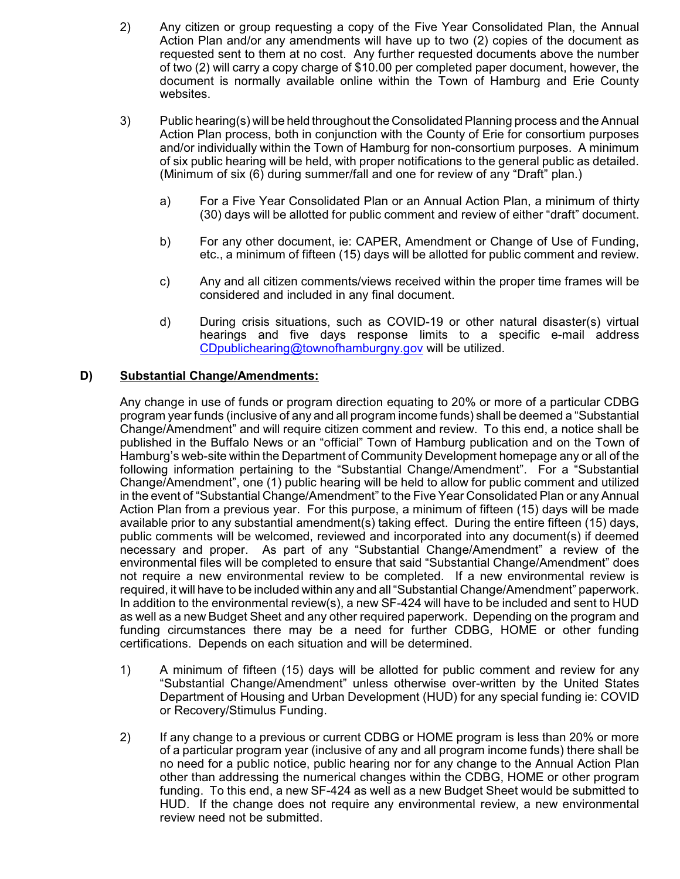- 2) Any citizen or group requesting a copy of the Five Year Consolidated Plan, the Annual Action Plan and/or any amendments will have up to two (2) copies of the document as requested sent to them at no cost. Any further requested documents above the number of two (2) will carry a copy charge of \$10.00 per completed paper document, however, the document is normally available online within the Town of Hamburg and Erie County websites.
- 3) Public hearing(s) will be held throughout the Consolidated Planning process and the Annual Action Plan process, both in conjunction with the County of Erie for consortium purposes and/or individually within the Town of Hamburg for non-consortium purposes. A minimum of six public hearing will be held, with proper notifications to the general public as detailed. (Minimum of six (6) during summer/fall and one for review of any "Draft" plan.)
	- a) For a Five Year Consolidated Plan or an Annual Action Plan, a minimum of thirty (30) days will be allotted for public comment and review of either "draft" document.
	- b) For any other document, ie: CAPER, Amendment or Change of Use of Funding, etc., a minimum of fifteen (15) days will be allotted for public comment and review.
	- c) Any and all citizen comments/views received within the proper time frames will be considered and included in any final document.
	- d) During crisis situations, such as COVID-19 or other natural disaster(s) virtual hearings and five days response limits to a specific e-mail address [CDpublichearing@townofhamburgny.gov](mailto:Cdpublichearings@townofhamburgny.com) will be utilized.

### **D) Substantial Change/Amendments:**

Any change in use of funds or program direction equating to 20% or more of a particular CDBG program year funds (inclusive of any and all program income funds) shall be deemed a "Substantial Change/Amendment" and will require citizen comment and review. To this end, a notice shall be published in the Buffalo News or an "official" Town of Hamburg publication and on the Town of Hamburg's web-site within the Department of Community Development homepage any or all of the following information pertaining to the "Substantial Change/Amendment". For a "Substantial Change/Amendment", one (1) public hearing will be held to allow for public comment and utilized in the event of "Substantial Change/Amendment" to the Five Year Consolidated Plan or any Annual Action Plan from a previous year. For this purpose, a minimum of fifteen (15) days will be made available prior to any substantial amendment(s) taking effect. During the entire fifteen (15) days, public comments will be welcomed, reviewed and incorporated into any document(s) if deemed necessary and proper. As part of any "Substantial Change/Amendment" a review of the environmental files will be completed to ensure that said "Substantial Change/Amendment" does not require a new environmental review to be completed. If a new environmental review is required, it will have to be included within any and all "Substantial Change/Amendment" paperwork. In addition to the environmental review(s), a new SF-424 will have to be included and sent to HUD as well as a new Budget Sheet and any other required paperwork. Depending on the program and funding circumstances there may be a need for further CDBG, HOME or other funding certifications. Depends on each situation and will be determined.

- 1) A minimum of fifteen (15) days will be allotted for public comment and review for any "Substantial Change/Amendment" unless otherwise over-written by the United States Department of Housing and Urban Development (HUD) for any special funding ie: COVID or Recovery/Stimulus Funding.
- 2) If any change to a previous or current CDBG or HOME program is less than 20% or more of a particular program year (inclusive of any and all program income funds) there shall be no need for a public notice, public hearing nor for any change to the Annual Action Plan other than addressing the numerical changes within the CDBG, HOME or other program funding. To this end, a new SF-424 as well as a new Budget Sheet would be submitted to HUD. If the change does not require any environmental review, a new environmental review need not be submitted.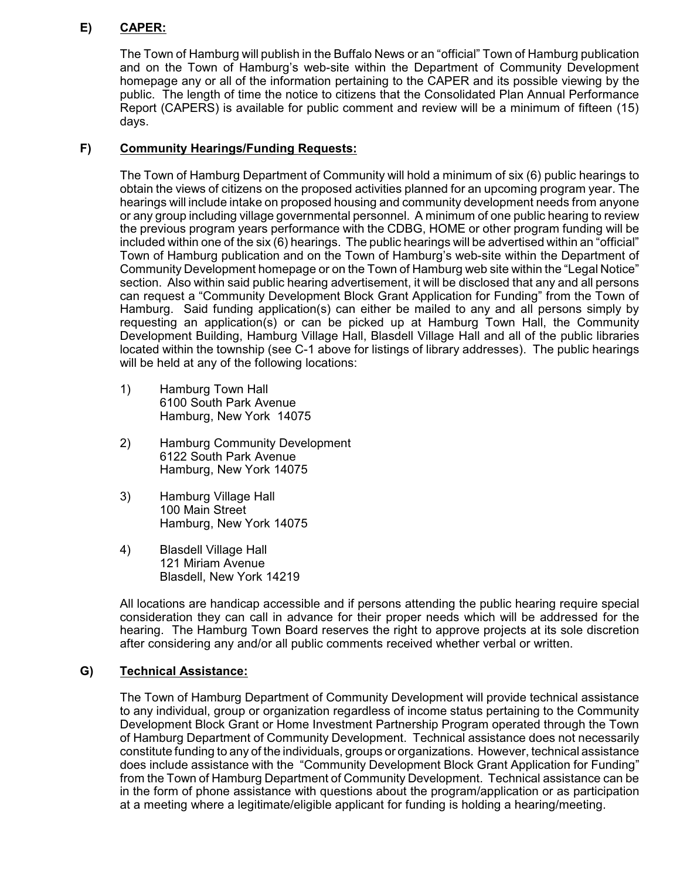# **E) CAPER:**

The Town of Hamburg will publish in the Buffalo News or an "official" Town of Hamburg publication and on the Town of Hamburg's web-site within the Department of Community Development homepage any or all of the information pertaining to the CAPER and its possible viewing by the public. The length of time the notice to citizens that the Consolidated Plan Annual Performance Report (CAPERS) is available for public comment and review will be a minimum of fifteen (15) days.

## **F) Community Hearings/Funding Requests:**

The Town of Hamburg Department of Community will hold a minimum of six (6) public hearings to obtain the views of citizens on the proposed activities planned for an upcoming program year. The hearings will include intake on proposed housing and community development needs from anyone or any group including village governmental personnel. A minimum of one public hearing to review the previous program years performance with the CDBG, HOME or other program funding will be included within one of the six (6) hearings. The public hearings will be advertised within an "official" Town of Hamburg publication and on the Town of Hamburg's web-site within the Department of Community Development homepage or on the Town of Hamburg web site within the "Legal Notice" section. Also within said public hearing advertisement, it will be disclosed that any and all persons can request a "Community Development Block Grant Application for Funding" from the Town of Hamburg. Said funding application(s) can either be mailed to any and all persons simply by requesting an application(s) or can be picked up at Hamburg Town Hall, the Community Development Building, Hamburg Village Hall, Blasdell Village Hall and all of the public libraries located within the township (see C-1 above for listings of library addresses). The public hearings will be held at any of the following locations:

- 1) Hamburg Town Hall 6100 South Park Avenue Hamburg, New York 14075
- 2) Hamburg Community Development 6122 South Park Avenue Hamburg, New York 14075
- 3) Hamburg Village Hall 100 Main Street Hamburg, New York 14075
- 4) Blasdell Village Hall 121 Miriam Avenue Blasdell, New York 14219

All locations are handicap accessible and if persons attending the public hearing require special consideration they can call in advance for their proper needs which will be addressed for the hearing. The Hamburg Town Board reserves the right to approve projects at its sole discretion after considering any and/or all public comments received whether verbal or written.

### **G) Technical Assistance:**

The Town of Hamburg Department of Community Development will provide technical assistance to any individual, group or organization regardless of income status pertaining to the Community Development Block Grant or Home Investment Partnership Program operated through the Town of Hamburg Department of Community Development. Technical assistance does not necessarily constitute funding to any of the individuals, groups or organizations. However, technical assistance does include assistance with the "Community Development Block Grant Application for Funding" from the Town of Hamburg Department of Community Development. Technical assistance can be in the form of phone assistance with questions about the program/application or as participation at a meeting where a legitimate/eligible applicant for funding is holding a hearing/meeting.